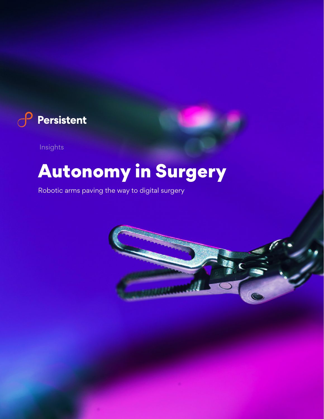

Insights

# Autonomy in Surgery

Robotic arms paving the way to digital surgery

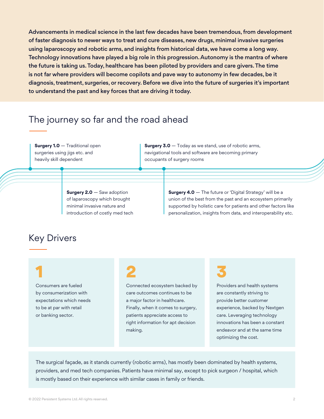Advancements in medical science in the last few decades have been tremendous, from development of faster diagnosis to newer ways to treat and cure diseases, new drugs, minimal invasive surgeries using laparoscopy and robotic arms, and insights from historical data, we have come a long way. Technology innovations have played a big role in this progression. Autonomy is the mantra of where the future is taking us. Today, healthcare has been piloted by providers and care givers. The time is not far where providers will become copilots and pave way to autonomy in few decades, be it diagnosis, treatment, surgeries, or recovery. Before we dive into the future of surgeries it's important to understand the past and key forces that are driving it today.

#### The journey so far and the road ahead

**Surgery 1.0** — Traditional open surgeries using jigs etc. and heavily skill dependent

**Surgery 3.0** – Today as we stand, use of robotic arms, navigational tools and software are becoming primary occupants of surgery rooms

**Surgery 2.0** — Saw adoption of laparoscopy which brought minimal invasive nature and introduction of costly med tech **Surgery 4.0** — The future or 'Digital Strategy' will be a union of the best from the past and an ecosystem primarily supported by holistic care for patients and other factors like personalization, insights from data, and interoperability etc.

#### Key Drivers

## 1

Consumers are fueled by consumerization with expectations which needs to be at par with retail or banking sector.

## 2

Connected ecosystem backed by care outcomes continues to be a major factor in healthcare. Finally, when it comes to surgery, patients appreciate access to right information for apt decision making.

## 3

Providers and health systems are constantly striving to provide better customer experience, backed by Nextgen care. Leveraging technology innovations has been a constant endeavor and at the same time optimizing the cost.

The surgical façade, as it stands currently (robotic arms), has mostly been dominated by health systems, providers, and med tech companies. Patients have minimal say, except to pick surgeon / hospital, which is mostly based on their experience with similar cases in family or friends.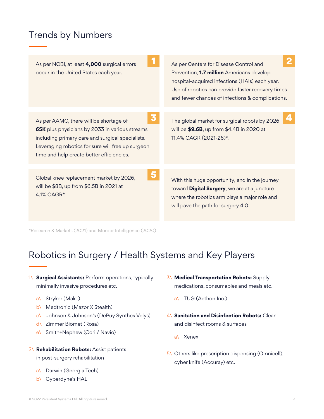### Trends by Numbers

| As per NCBI, at least 4,000 surgical errors<br>occur in the United States each year.                                                                                                                                                                | As per Centers for Disease Control and<br>Prevention, 1.7 million Americans develop<br>hospital-acquired infections (HAIs) each year.<br>Use of robotics can provide faster recovery times<br>and fewer chances of infections & complications. |
|-----------------------------------------------------------------------------------------------------------------------------------------------------------------------------------------------------------------------------------------------------|------------------------------------------------------------------------------------------------------------------------------------------------------------------------------------------------------------------------------------------------|
| 3<br>As per AAMC, there will be shortage of<br>65K plus physicians by 2033 in various streams<br>including primary care and surgical specialists.<br>Leveraging robotics for sure will free up surgeon<br>time and help create better efficiencies. | $\boldsymbol{A}$<br>The global market for surgical robots by 2026<br>will be \$9.6B, up from \$4.4B in 2020 at<br>11.4% CAGR (2021-26)*.                                                                                                       |
| Global knee replacement market by 2026,<br>will be \$8B, up from \$6.5B in 2021 at<br>4.1% CAGR*.                                                                                                                                                   | With this huge opportunity, and in the journey<br>toward Digital Surgery, we are at a juncture<br>where the robotics arm plays a major role and<br>will pave the path for surgery 4.0.                                                         |

\*Research & Markets (2021) and Mordor Intelligence (2020)

### Robotics in Surgery / Health Systems and Key Players

- 1\ **Surgical Assistants:** Perform operations, typically minimally invasive procedures etc.
	- a\ Stryker (Mako)
	- b\ Medtronic (Mazor X Stealth)
	- c\ Johnson & Johnson's (DePuy Synthes Velys)
	- d\ Zimmer Biomet (Rosa)
	- e\ Smith+Nephew (Cori / Navio)

#### 2\ **Rehabilitation Robots:** Assist patients in post-surgery rehabilitation

- 
- a\ Darwin (Georgia Tech)
- b\ Cyberdyne's HAL
- 3\ **Medical Transportation Robots:** Supply medications, consumables and meals etc.
	- a\ TUG (Aethon Inc.)
- 4\ **Sanitation and Disinfection Robots:** Clean and disinfect rooms & surfaces
	- a\ Xenex
- 5\ Others like prescription dispensing (Omnicell), cyber knife (Accuray) etc.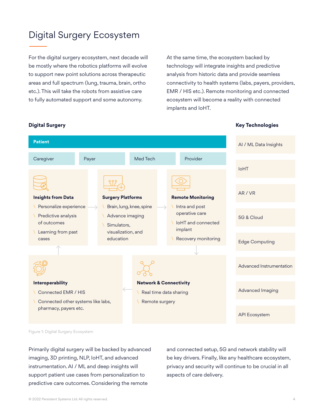## Digital Surgery Ecosystem

For the digital surgery ecosystem, next decade will be mostly where the robotics platforms will evolve to support new point solutions across therapeutic areas and full spectrum (lung, trauma, brain, ortho etc.). This will take the robots from assistive care to fully automated support and some autonomy.

At the same time, the ecosystem backed by technology will integrate insights and predictive analysis from historic data and provide seamless connectivity to health systems (labs, payers, providers, EMR / HIS etc.). Remote monitoring and connected ecosystem will become a reality with connected implants and IoHT.



**Digital Surgery Key Technologies**

Figure 1: Digital Surgery Ecosystem

Primarily digital surgery will be backed by advanced imaging, 3D printing, NLP, IoHT, and advanced instrumentation. AI / ML and deep insights will support patient use cases from personalization to predictive care outcomes. Considering the remote

and connected setup, 5G and network stability will be key drivers. Finally, like any healthcare ecosystem, privacy and security will continue to be crucial in all aspects of care delivery.